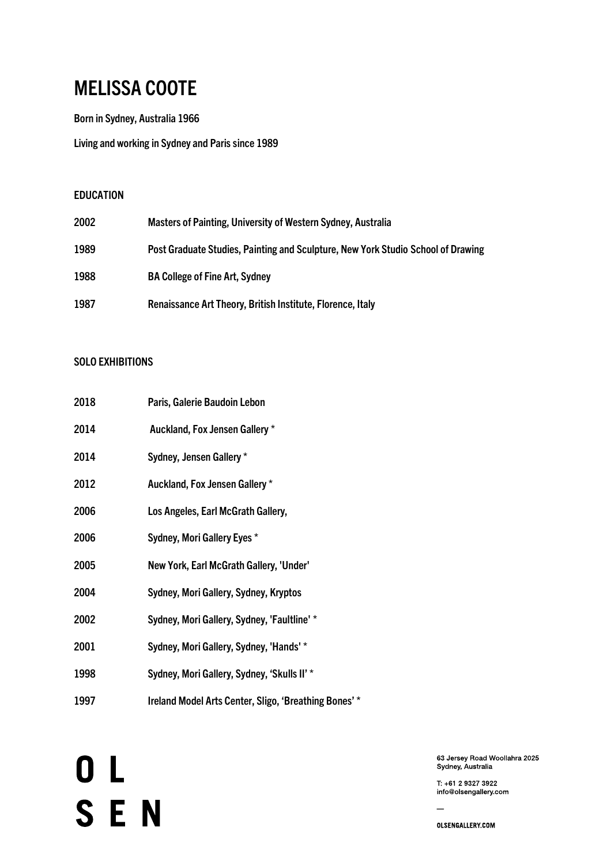## MELISSA COOTE

Born in Sydney, Australia 1966

Living and working in Sydney and Paris since 1989

#### EDUCATION

| 2002 | Masters of Painting, University of Western Sydney, Australia                     |
|------|----------------------------------------------------------------------------------|
| 1989 | Post Graduate Studies, Painting and Sculpture, New York Studio School of Drawing |
| 1988 | <b>BA College of Fine Art, Sydney</b>                                            |
| 1987 | Renaissance Art Theory, British Institute, Florence, Italy                       |

#### SOLO EXHIBITIONS

| 2018 | Paris, Galerie Baudoin Lebon                          |
|------|-------------------------------------------------------|
| 2014 | Auckland, Fox Jensen Gallery *                        |
| 2014 | Sydney, Jensen Gallery *                              |
| 2012 | Auckland, Fox Jensen Gallery *                        |
| 2006 | Los Angeles, Earl McGrath Gallery,                    |
| 2006 | Sydney, Mori Gallery Eyes *                           |
| 2005 | New York, Earl McGrath Gallery, 'Under'               |
| 2004 | Sydney, Mori Gallery, Sydney, Kryptos                 |
| 2002 | Sydney, Mori Gallery, Sydney, 'Faultline' *           |
| 2001 | Sydney, Mori Gallery, Sydney, 'Hands' *               |
| 1998 | Sydney, Mori Gallery, Sydney, 'Skulls II' *           |
| 1997 | Ireland Model Arts Center, Sligo, 'Breathing Bones' * |

OL<br>SEN

63 Jersey Road Woollahra 2025 Sydney, Australia

T: +61 2 9327 3922 info@olsengallery.com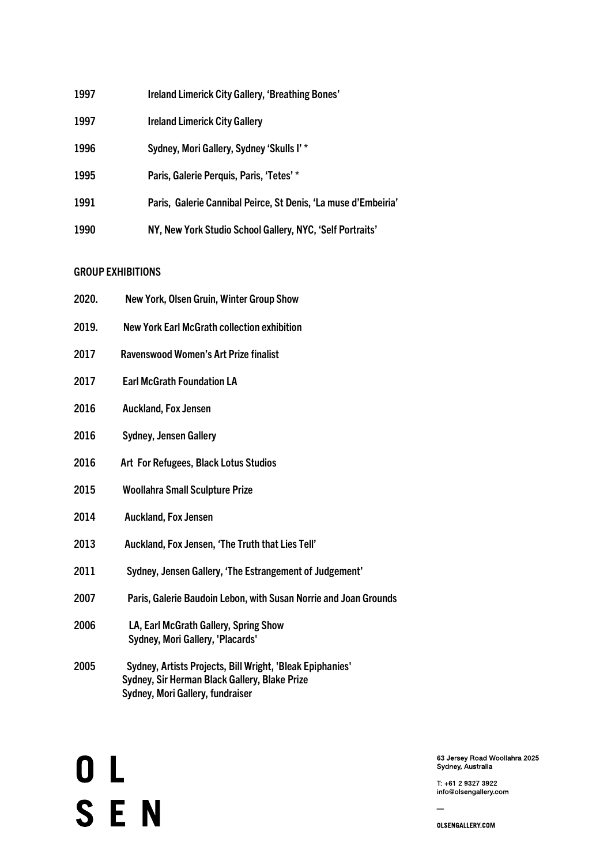| 1997 | Ireland Limerick City Gallery, 'Breathing Bones'               |
|------|----------------------------------------------------------------|
| 1997 | <b>Ireland Limerick City Gallery</b>                           |
| 1996 | Sydney, Mori Gallery, Sydney 'Skulls I' *                      |
| 1995 | Paris, Galerie Perquis, Paris, 'Tetes' *                       |
| 1991 | Paris, Galerie Cannibal Peirce, St Denis, 'La muse d'Embeiria' |
| 1990 | NY, New York Studio School Gallery, NYC, 'Self Portraits'      |

### **GROUP EXHIBITIONS**

| 2020. | New York, Olsen Gruin, Winter Group Show                                                                                                       |
|-------|------------------------------------------------------------------------------------------------------------------------------------------------|
| 2019. | New York Earl McGrath collection exhibition                                                                                                    |
| 2017  | <b>Ravenswood Women's Art Prize finalist</b>                                                                                                   |
| 2017  | <b>Earl McGrath Foundation LA</b>                                                                                                              |
| 2016  | <b>Auckland, Fox Jensen</b>                                                                                                                    |
| 2016  | <b>Sydney, Jensen Gallery</b>                                                                                                                  |
| 2016  | Art For Refugees, Black Lotus Studios                                                                                                          |
| 2015  | <b>Woollahra Small Sculpture Prize</b>                                                                                                         |
| 2014  | <b>Auckland, Fox Jensen</b>                                                                                                                    |
| 2013  | Auckland, Fox Jensen, 'The Truth that Lies Tell'                                                                                               |
| 2011  | Sydney, Jensen Gallery, 'The Estrangement of Judgement'                                                                                        |
| 2007  | Paris, Galerie Baudoin Lebon, with Susan Norrie and Joan Grounds                                                                               |
| 2006  | LA, Earl McGrath Gallery, Spring Show<br>Sydney, Mori Gallery, 'Placards'                                                                      |
| 2005  | Sydney, Artists Projects, Bill Wright, 'Bleak Epiphanies'<br>Sydney, Sir Herman Black Gallery, Blake Prize<br>Sydney, Mori Gallery, fundraiser |

OL<br>SEN

63 Jersey Road Woollahra 2025<br>Sydney, Australia

T: +61 2 9327 3922 info@olsengallery.com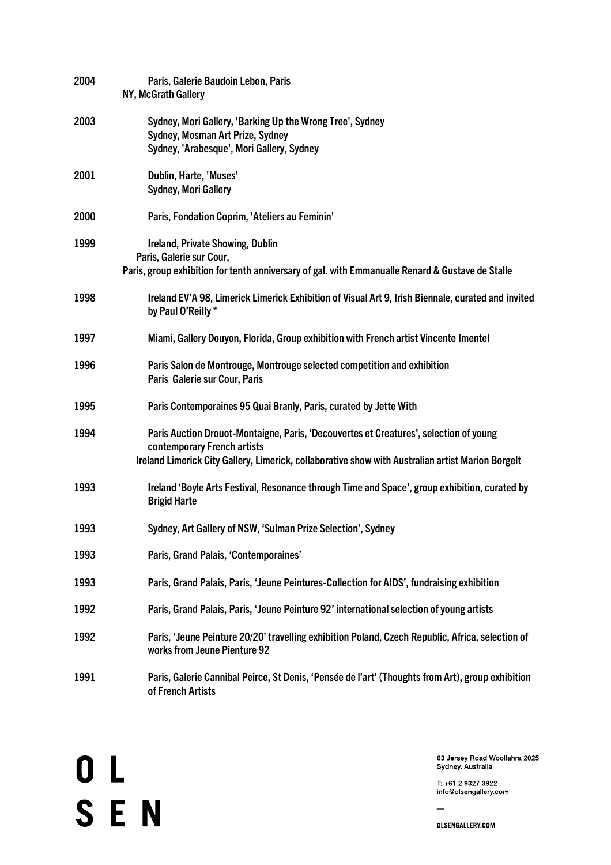| 2004 | Paris, Galerie Baudoin Lebon, Paris<br>NY, McGrath Gallery                                                                                                                                                                |
|------|---------------------------------------------------------------------------------------------------------------------------------------------------------------------------------------------------------------------------|
| 2003 | Sydney, Mori Gallery, 'Barking Up the Wrong Tree', Sydney<br>Sydney, Mosman Art Prize, Sydney<br>Sydney, 'Arabesque', Mori Gallery, Sydney                                                                                |
| 2001 | Dublin, Harte, 'Muses'<br><b>Sydney, Mori Gallery</b>                                                                                                                                                                     |
| 2000 | Paris, Fondation Coprim, 'Ateliers au Feminin'                                                                                                                                                                            |
| 1999 | Ireland, Private Showing, Dublin<br>Paris, Galerie sur Cour,<br>Paris, group exhibition for tenth anniversary of gal. with Emmanualle Renard & Gustave de Stalle                                                          |
| 1998 | Ireland EV'A 98, Limerick Limerick Exhibition of Visual Art 9, Irish Biennale, curated and invited<br>by Paul O'Reilly *                                                                                                  |
| 1997 | Miami, Gallery Douyon, Florida, Group exhibition with French artist Vincente Imentel                                                                                                                                      |
| 1996 | Paris Salon de Montrouge, Montrouge selected competition and exhibition<br>Paris Galerie sur Cour, Paris                                                                                                                  |
| 1995 | Paris Contemporaines 95 Quai Branly, Paris, curated by Jette With                                                                                                                                                         |
| 1994 | Paris Auction Drouot-Montaigne, Paris, 'Decouvertes et Creatures', selection of young<br>contemporary French artists<br>Ireland Limerick City Gallery, Limerick, collaborative show with Australian artist Marion Borgelt |
| 1993 | Ireland 'Boyle Arts Festival, Resonance through Time and Space', group exhibition, curated by<br><b>Brigid Harte</b>                                                                                                      |
| 1993 | Sydney, Art Gallery of NSW, 'Sulman Prize Selection', Sydney                                                                                                                                                              |
| 1993 | Paris, Grand Palais, 'Contemporaines'                                                                                                                                                                                     |
| 1993 | Paris, Grand Palais, Paris, 'Jeune Peintures-Collection for AIDS', fundraising exhibition                                                                                                                                 |
| 1992 | Paris, Grand Palais, Paris, 'Jeune Peinture 92' international selection of young artists                                                                                                                                  |
| 1992 | Paris, 'Jeune Peinture 20/20' travelling exhibition Poland, Czech Republic, Africa, selection of<br>works from Jeune Pienture 92                                                                                          |
| 1991 | Paris, Galerie Cannibal Peirce, St Denis, 'Pensée de l'art' (Thoughts from Art), group exhibition<br>of French Artists                                                                                                    |

OL<br>SEN

63 Jersey Road Woollahra 2025<br>Sydney, Australia

T: +61 2 9327 3922 info@olsengallery.com